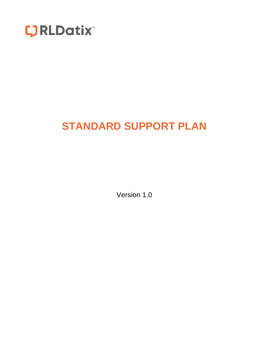

# **STANDARD SUPPORT PLAN**

Version 1.0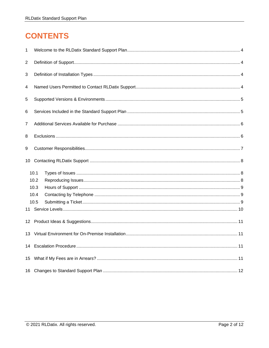# **CONTENTS**

| 1                       |      |  |  |  |  |
|-------------------------|------|--|--|--|--|
| $\overline{c}$          |      |  |  |  |  |
| 3                       |      |  |  |  |  |
| $\overline{\mathbf{4}}$ |      |  |  |  |  |
| 5                       |      |  |  |  |  |
| 6                       |      |  |  |  |  |
| $\overline{7}$          |      |  |  |  |  |
| 8                       |      |  |  |  |  |
| 9                       |      |  |  |  |  |
|                         |      |  |  |  |  |
|                         | 10.1 |  |  |  |  |
|                         | 10.2 |  |  |  |  |
|                         | 10.3 |  |  |  |  |
|                         | 10.4 |  |  |  |  |
|                         | 10.5 |  |  |  |  |
|                         |      |  |  |  |  |
|                         |      |  |  |  |  |
|                         |      |  |  |  |  |
|                         |      |  |  |  |  |
|                         |      |  |  |  |  |
|                         |      |  |  |  |  |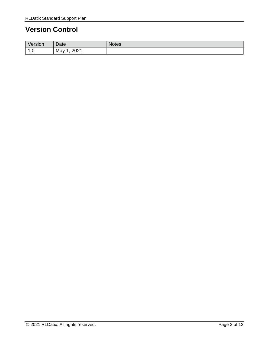## **Version Control**

| Version                            | Date          | Notes. |
|------------------------------------|---------------|--------|
| $\overline{a}$<br>$\cdot$ . $\cup$ | 2021<br>May 1 |        |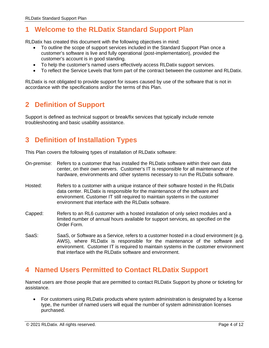## <span id="page-3-0"></span>**1 Welcome to the RLDatix Standard Support Plan**

RLDatix has created this document with the following objectives in mind:

- To outline the scope of support services included in the Standard Support Plan once a customer's software is live and fully operational (post-implementation), provided the customer's account is in good standing.
- To help the customer's named users effectively access RLDatix support services.
- To reflect the Service Levels that form part of the contract between the customer and RLDatix.

<span id="page-3-1"></span>RLDatix is not obligated to provide support for issues caused by use of the software that is not in accordance with the specifications and/or the terms of this Plan.

## **2 Definition of Support**

<span id="page-3-2"></span>Support is defined as technical support or break/fix services that typically include remote troubleshooting and basic usability assistance.

## **3 Definition of Installation Types**

This Plan covers the following types of installation of RLDatix software:

- On-premise: Refers to a customer that has installed the RLDatix software within their own data center, on their own servers. Customer's IT is responsible for all maintenance of the hardware, environments and other systems necessary to run the RLDatix software.
- Hosted: Refers to a customer with a unique instance of their software hosted in the RLDatix data center. RLDatix is responsible for the maintenance of the software and environment. Customer IT still required to maintain systems in the customer environment that interface with the RLDatix software.
- Capped: Refers to an RL6 customer with a hosted installation of only select modules and a limited number of annual hours available for support services, as specified on the Order Form.
- SaaS: SaaS, or Software as a Service, refers to a customer hosted in a cloud environment (e.g. AWS), where RLDatix is responsible for the maintenance of the software and environment. Customer IT is required to maintain systems in the customer environment that interface with the RLDatix software and environment.

### <span id="page-3-3"></span>**4 Named Users Permitted to Contact RLDatix Support**

Named users are those people that are permitted to contact RLDatix Support by phone or ticketing for assistance.

• For customers using RLDatix products where system administration is designated by a license type, the number of named users will equal the number of system administration licenses purchased.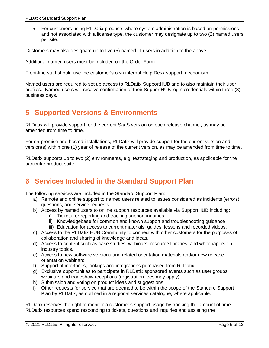• For customers using RLDatix products where system administration is based on permissions and not associated with a license type, the customer may designate up to two (2) named users per site.

Customers may also designate up to five (5) named IT users in addition to the above.

Additional named users must be included on the Order Form.

Front-line staff should use the customer's own internal Help Desk support mechanism.

Named users are required to set up access to RLDatix SupportHUB and to also maintain their user profiles. Named users will receive confirmation of their SupportHUB login credentials within three (3) business days.

## <span id="page-4-0"></span>**5 Supported Versions & Environments**

RLDatix will provide support for the current SaaS version on each release channel, as may be amended from time to time.

For on-premise and hosted installations, RLDatix will provide support for the current version and version(s) within one (1) year of release of the current version, as may be amended from time to time.

RLDatix supports up to two (2) environments, e.g. test/staging and production, as applicable for the particular product suite.

## <span id="page-4-1"></span>**6 Services Included in the Standard Support Plan**

The following services are included in the Standard Support Plan:

- a) Remote and online support to named users related to issues considered as incidents (errors), questions, and service requests.
- b) Access by named users to online support resources available via SupportHUB including:
	- i) Tickets for reporting and tracking support inquiries
	- ii) Knowledgebase for common and known support and troubleshooting guidance
	- iii) Education for access to current materials, guides, lessons and recorded videos.
- c) Access to the RLDatix HUB Community to connect with other customers for the purposes of collaboration and sharing of knowledge and ideas.
- d) Access to content such as case studies, webinars, resource libraries, and whitepapers on industry topics.
- e) Access to new software versions and related orientation materials and/or new release orientation webinars.
- f) Support of interfaces, lookups and integrations purchased from RLDatix.
- g) Exclusive opportunities to participate in RLDatix sponsored events such as user groups, webinars and tradeshow receptions (registration fees may apply).
- h) Submission and voting on product ideas and suggestions.
- i) Other requests for service that are deemed to be within the scope of the Standard Support Plan by RLDatix, as outlined in a regional services catalogue, where applicable.

RLDatix reserves the right to monitor a customer's support usage by tracking the amount of time RLDatix resources spend responding to tickets, questions and inquiries and assisting the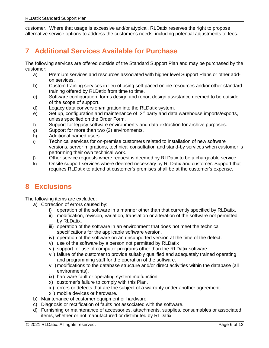<span id="page-5-0"></span>customer. Where that usage is excessive and/or atypical, RLDatix reserves the right to propose alternative service options to address the customer's needs, including potential adjustments to fees.

## **7 Additional Services Available for Purchase**

The following services are offered outside of the Standard Support Plan and may be purchased by the customer:

- a) Premium services and resources associated with higher level Support Plans or other addon services.
- b) Custom training services in lieu of using self-paced online resources and/or other standard training offered by RLDatix from time to time.
- c) Software configuration, forms design and report design assistance deemed to be outside of the scope of support.
- d) Legacy data conversion/migration into the RLDatix system.
- e) Set up, configuration and maintenance of  $3<sup>rd</sup>$  party and data warehouse imports/exports, unless specified on the Order Form.
- f) Support for legacy software environments and data extraction for archive purposes.
- g) Support for more than two (2) environments.
- h) Additional named users.
- i) Technical services for on-premise customers related to installation of new software versions, server migrations, technical consultation and stand-by services when customer is performing their own technical work.
- j) Other service requests where request is deemed by RLDatix to be a chargeable service.
- k) Onsite support services where deemed necessary by RLDatix and customer. Support that requires RLDatix to attend at customer's premises shall be at the customer's expense.

## <span id="page-5-1"></span>**8 Exclusions**

The following items are excluded:

- a) Correction of errors caused by:
	- i) operation of the software in a manner other than that currently specified by RLDatix.
	- ii) modification, revision, variation, translation or alteration of the software not permitted by RLDatix.
	- iii) operation of the software in an environment that does not meet the technical specifications for the applicable software version.
	- iv) operation of the software on an unsupported version at the time of the defect.
	- v) use of the software by a person not permitted by RLDatix
	- vi) support for use of computer programs other than the RLDatix software.
	- vii) failure of the customer to provide suitably qualified and adequately trained operating and programming staff for the operation of the software.
	- viii) modifications to the database structure and/or direct activities within the database (all environments).
	- ix) hardware fault or operating system malfunction.
	- x) customer's failure to comply with this Plan.
	- xi) errors or defects that are the subject of a warranty under another agreement.
	- xii) mobile devices or hardware.
- b) Maintenance of customer equipment or hardware.
- c) Diagnosis or rectification of faults not associated with the software.
- d) Furnishing or maintenance of accessories, attachments, supplies, consumables or associated items, whether or not manufactured or distributed by RLDatix.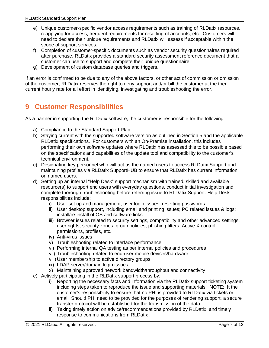- e) Unique customer-specific vendor access requirements such as training of RLDatix resources, reapplying for access, frequent requirements for resetting of accounts, etc. Customers will need to declare their unique requirements and RLDatix will assess if acceptable within the scope of support services.
- f) Completion of customer-specific documents such as vendor security questionnaires required after purchase. RLDatix provides a standard security assessment reference document that a customer can use to support and complete their unique questionnaire.
- g) Development of custom database queries and triggers.

If an error is confirmed to be due to any of the above factors, or other act of commission or omission of the customer, RLDatix reserves the right to deny support and/or bill the customer at the then current hourly rate for all effort in identifying, investigating and troubleshooting the error.

## <span id="page-6-0"></span>**9 Customer Responsibilities**

As a partner in supporting the RLDatix software, the customer is responsible for the following:

- a) Compliance to the Standard Support Plan.
- b) Staying current with the supported software version as outlined in Section 5 and the applicable RLDatix specifications. For customers with an On-Premise installation, this includes performing their own software updates where RLDatix has assessed this to be possible based on the specifications and capabilities of the update tool and compatibility to the customer's technical environment.
- c) Designating key personnel who will act as the named users to access RLDatix Support and maintaining profiles via RLDatix SupportHUB to ensure that RLDatix has current information on named users.
- d) Setting up an internal "Help Desk" support mechanism with trained, skilled and available resource(s) to support end users with everyday questions, conduct initial investigation and complete thorough troubleshooting before referring issue to RLDatix Support. Help Desk responsibilities include:
	- i) User set up and management; user login issues, resetting passwords
	- ii) User desktop support, including email and printing issues; PC related issues & logs; install/re-install of OS and software links
	- iii) Browser issues related to security settings, compatibility and other advanced settings, user rights, security zones, group policies, phishing filters, Active X control permissions, profiles, etc.
	- iv) Anti-virus issues
	- v) Troubleshooting related to interface performance
	- vi) Performing internal QA testing as per internal policies and procedures
	- vii) Troubleshooting related to end-user mobile devices/hardware
	- viii) User membership to active directory groups
	- ix) LDAP server/domain login issues
	- x) Maintaining approved network bandwidth/throughput and connectivity
- e) Actively participating in the RLDatix support process by:
	- i) Reporting the necessary facts and information via the RLDatix support ticketing system including steps taken to reproduce the issue and supporting materials. NOTE: It the customer's responsibility to ensure that no PHI is provided to RLDatix via tickets or email. Should PHI need to be provided for the purposes of rendering support, a secure transfer protocol will be established for the transmission of the data.
	- ii) Taking timely action on advice/recommendations provided by RLDatix, and timely response to communications from RLDatix .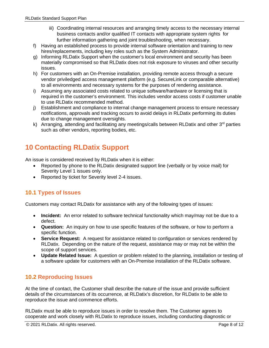- iii) Coordinating internal resources and arranging timely access to the necessary internal business contacts and/or qualified IT contacts with appropriate system rights for further information gathering and joint troubleshooting, when necessary.
- f) Having an established process to provide internal software orientation and training to new hires/replacements, including key roles such as the System Administrator.
- g) Informing RLDatix Support when the customer's local environment and security has been materially compromised so that RLDatix does not risk exposure to viruses and other security issues.
- h) For customers with an On-Premise installation, providing remote access through a secure vendor priviledged access management platform (e.g. SecureLink or comparable alternative) to all environments and necessary systems for the purposes of rendering assistance.
- i) Assuming any associated costs related to unique software/hardware or licensing that is required in the customer's environment. This includes vendor access costs if customer unable to use RLDatix recommended method.
- j) Establishment and compliance to internal change management process to ensure necessary notifications, approvals and tracking occurs to avoid delays in RLDatix performing its duties due to change management oversights.
- k) Arranging, attending and facilitating any meetings/calls between RLDatix and other 3<sup>rd</sup> parties such as other vendors, reporting bodies, etc.

## <span id="page-7-0"></span>**10 Contacting RLDatix Support**

An issue is considered received by RLDatix when it is either:

- Reported by phone to the RLDatix designated support line (verbally or by voice mail) for Severity Level 1 issues only.
- Reported by ticket for Severity level 2-4 issues.

#### <span id="page-7-1"></span>**10.1 Types of Issues**

Customers may contact RLDatix for assistance with any of the following types of issues:

- **Incident:** An error related to software technical functionality which may/may not be due to a defect.
- **Question:** An inquiry on how to use specific features of the software, or how to perform a specific function.
- **Service Request:** A request for assistance related to configuration or services rendered by RLDatix. Depending on the nature of the request, assistance may or may not be within the scope of support services.
- **Update Related Issue:** A question or problem related to the planning, installation or testing of a software update for customers with an On-Premise installation of the RLDatix software.

#### <span id="page-7-2"></span>**10.2 Reproducing Issues**

At the time of contact, the Customer shall describe the nature of the issue and provide sufficient details of the circumstances of its occurrence, at RLDatix's discretion, for RLDatix to be able to reproduce the issue and commence efforts.

RLDatix must be able to reproduce issues in order to resolve them. The Customer agrees to cooperate and work closely with RLDatix to reproduce issues, including conducting diagnostic or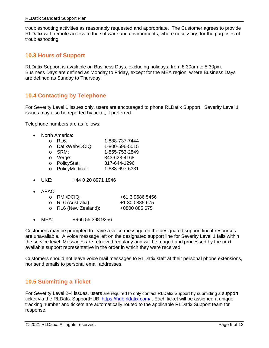troubleshooting activities as reasonably requested and appropriate. The Customer agrees to provide RLDatix with remote access to the software and environments, where necessary, for the purposes of troubleshooting.

#### <span id="page-8-0"></span>**10.3 Hours of Support**

RLDatix Support is available on Business Days, excluding holidays, from 8:30am to 5:30pm. Business Days are defined as Monday to Friday, except for the MEA region, where Business Days are defined as Sunday to Thursday.

#### <span id="page-8-1"></span>**10.4 Contacting by Telephone**

For Severity Level 1 issues only, users are encouraged to phone RLDatix Support. Severity Level 1 issues may also be reported by ticket, if preferred.

Telephone numbers are as follows:

• North America:

|          | RL6:           | 1-888-737-7444 |
|----------|----------------|----------------|
| $\Omega$ | DatixWeb/DCIQ: | 1-800-596-5015 |
| $\cap$   | SRM:           | 1-855-753-2849 |
|          | o Verge:       | 843-628-4168   |
| $\circ$  | PolicyStat:    | 317-644-1296   |
| $\circ$  | PolicyMedical: | 1-888-697-6331 |
|          |                |                |

- UKE: +44 0 20 8971 1946
- $\bullet$  APAC:

| o RMI/DCIQ:                | +61 3 9686 5456 |
|----------------------------|-----------------|
| o RL6 (Australia):         | +1 300 885 675  |
| $\circ$ RL6 (New Zealand): | +0800 885 675   |

• MEA: +966 55 398 9256

Customers may be prompted to leave a voice message on the designated support line if resources are unavailable. A voice message left on the designated support line for Severity Level 1 falls within the service level. Messages are retrieved regularly and will be triaged and processed by the next available support representative in the order in which they were received.

Customers should not leave voice mail messages to RLDatix staff at their personal phone extensions, nor send emails to personal email addresses.

#### <span id="page-8-2"></span>**10.5 Submitting a Ticket**

For Severity Level 2-4 issues, users are required to only contact RLDatix Support by submitting a support ticket via the RLDatix SupportHUB, <https://hub.rldatix.com/> . Each ticket will be assigned a unique tracking number and tickets are automatically routed to the applicable RLDatix Support team for response.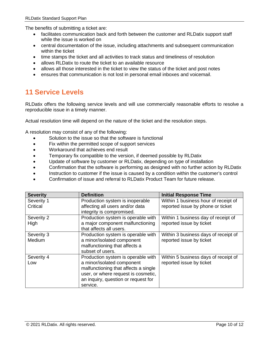The benefits of submitting a ticket are:

- facilitates communication back and forth between the customer and RLDatix support staff while the issue is worked on
- central documentation of the issue, including attachments and subsequent communication within the ticket
- time stamps the ticket and all activities to track status and timeliness of resolution
- allows RLDatix to route the ticket to an available resource
- allows all those interested in the ticket to view the status of the ticket and post notes
- <span id="page-9-0"></span>• ensures that communication is not lost in personal email inboxes and voicemail.

## **11 Service Levels**

RLDatix offers the following service levels and will use commercially reasonable efforts to resolve a reproducible issue in a timely manner.

Actual resolution time will depend on the nature of the ticket and the resolution steps.

A resolution may consist of any of the following:

- Solution to the issue so that the software is functional
- Fix within the permitted scope of support services
- Workaround that achieves end result
- Temporary fix compatible to the version, if deemed possible by RLDatix
- Update of software by customer or RLDatix, depending on type of installation
- Confirmation that the software is performing as designed with no further action by RLDatix
- Instruction to customer if the issue is caused by a condition within the customer's control
- Confirmation of issue and referral to RLDatix Product Team for future release.

| <b>Severity</b>      | <b>Definition</b>                                                                                                                                                                                  | <b>Initial Response Time</b>                                     |
|----------------------|----------------------------------------------------------------------------------------------------------------------------------------------------------------------------------------------------|------------------------------------------------------------------|
| Severity 1           | Production system is inoperable                                                                                                                                                                    | Within 1 business hour of receipt of                             |
| Critical             | affecting all users and/or data<br>integrity is compromised.                                                                                                                                       | reported issue by phone or ticket                                |
| Severity 2<br>High   | Production system is operable with<br>a major component malfunctioning<br>that affects all users.                                                                                                  | Within 1 business day of receipt of<br>reported issue by ticket  |
| Severity 3<br>Medium | Production system is operable with<br>a minor/isolated component<br>malfunctioning that affects a<br>subset of users.                                                                              | Within 3 business days of receipt of<br>reported issue by ticket |
| Severity 4<br>Low    | Production system is operable with<br>a minor/isolated component<br>malfunctioning that affects a single<br>user, or where request is cosmetic,<br>an inquiry, question or request for<br>service. | Within 5 business days of receipt of<br>reported issue by ticket |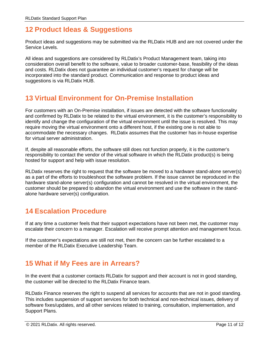## <span id="page-10-0"></span>**12 Product Ideas & Suggestions**

Product ideas and suggestions may be submitted via the RLDatix HUB and are not covered under the Service Levels.

All ideas and suggestions are considered by RLDatix's Product Management team, taking into consideration overall benefit to the software, value to broader customer-base, feasibility of the ideas and costs. RLDatix does not guarantee an individual customer's request for change will be incorporated into the standard product. Communication and response to product ideas and suggestions is via RLDatix HUB.

## <span id="page-10-1"></span>**13 Virtual Environment for On-Premise Installation**

For customers with an On-Premise installation, if issues are detected with the software functionality and confirmed by RLDatix to be related to the virtual environment, it is the customer's responsibility to identify and change the configuration of the virtual environment until the issue is resolved. This may require moving the virtual environment onto a different host, if the existing one is not able to accommodate the necessary changes. RLDatix assumes that the customer has in-house expertise for virtual server administration.

If, despite all reasonable efforts, the software still does not function properly, it is the customer's responsibility to contact the vendor of the virtual software in which the RLDatix product(s) is being hosted for support and help with issue resolution.

RLDatix reserves the right to request that the software be moved to a hardware stand-alone server(s) as a part of the efforts to troubleshoot the software problem. If the issue cannot be reproduced in the hardware stand-alone server(s) configuration and cannot be resolved in the virtual environment, the customer should be prepared to abandon the virtual environment and use the software in the standalone hardware server(s) configuration.

## <span id="page-10-2"></span>**14 Escalation Procedure**

If at any time a customer feels that their support expectations have not been met, the customer may escalate their concern to a manager. Escalation will receive prompt attention and management focus.

If the customer's expectations are still not met, then the concern can be further escalated to a member of the RLDatix Executive Leadership Team.

## <span id="page-10-3"></span>**15 What if My Fees are in Arrears?**

In the event that a customer contacts RLDatix for support and their account is not in good standing, the customer will be directed to the RLDatix Finance team.

RLDatix Finance reserves the right to suspend all services for accounts that are not in good standing. This includes suspension of support services for both technical and non-technical issues, delivery of software fixes/updates, and all other services related to training, consultation, implementation, and Support Plans.